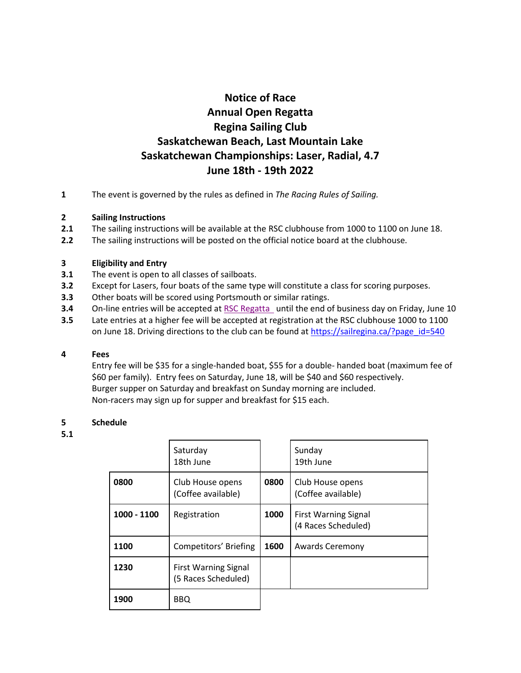# **Notice of Race Annual Open Regatta Regina Sailing Club Saskatchewan Beach, Last Mountain Lake Saskatchewan Championships: Laser, Radial, 4.7 June 18th - 19th 2022**

**1** The event is governed by the rules as defined in *The Racing Rules of Sailing.*

## **2 Sailing Instructions**

- **2.1** The sailing instructions will be available at the RSC clubhouse from 1000 to 1100 on June 18.
- **2.2** The sailing instructions will be posted on the official notice board at the clubhouse.

## **3 Eligibility and Entry**

- **3.1** The event is open to all classes of sailboats.
- **3.2** Except for Lasers, four boats of the same type will constitute a class for scoring purposes.
- **3.3** Other boats will be scored using Portsmouth or similar ratings.
- **3.4** On-line entries will be accepted at [RSC Regatta](https://forms.gle/g7GHCie2XMqM9L2FA) until the end of business day on Friday, June 10
- **3.5** Late entries at a higher fee will be accepted at registration at the RSC clubhouse 1000 to 1100 on June 18. Driving directions to the club can be found at [https://sailregina.ca/?page\\_id=540](https://sailregina.ca/?page_id=540)

## **4 Fees**

Entry fee will be \$35 for a single-handed boat, \$55 for a double- handed boat (maximum fee of \$60 per family). Entry fees on Saturday, June 18, will be \$40 and \$60 respectively. Burger supper on Saturday and breakfast on Sunday morning are included. Non-racers may sign up for supper and breakfast for \$15 each.

## **5 Schedule**

## **5.1**

|             | Saturday<br>18th June                              |      | Sunday<br>19th June                                |
|-------------|----------------------------------------------------|------|----------------------------------------------------|
| 0800        | Club House opens<br>(Coffee available)             | 0800 | Club House opens<br>(Coffee available)             |
| 1000 - 1100 | Registration                                       | 1000 | <b>First Warning Signal</b><br>(4 Races Scheduled) |
| 1100        | Competitors' Briefing                              | 1600 | <b>Awards Ceremony</b>                             |
| 1230        | <b>First Warning Signal</b><br>(5 Races Scheduled) |      |                                                    |
| 1900        | <b>BBQ</b>                                         |      |                                                    |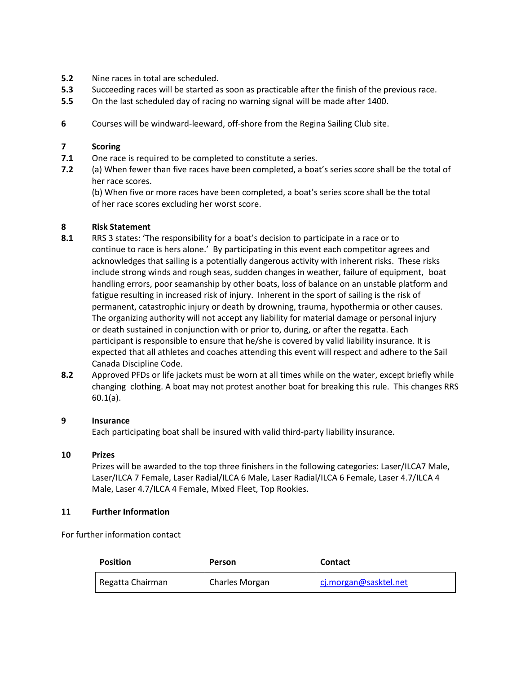- **5.2** Nine races in total are scheduled.
- **5.3** Succeeding races will be started as soon as practicable after the finish of the previous race.
- **5.5** On the last scheduled day of racing no warning signal will be made after 1400.
- **6** Courses will be windward-leeward, off-shore from the Regina Sailing Club site.

#### **7 Scoring**

- **7.1** One race is required to be completed to constitute a series.
- **7.2** (a) When fewer than five races have been completed, a boat's series score shall be the total of her race scores.

(b) When five or more races have been completed, a boat's series score shall be the total of her race scores excluding her worst score.

#### **8 Risk Statement**

- **8.1** RRS 3 states: 'The responsibility for a boat's decision to participate in a race or to continue to race is hers alone.' By participating in this event each competitor agrees and acknowledges that sailing is a potentially dangerous activity with inherent risks. These risks include strong winds and rough seas, sudden changes in weather, failure of equipment, boat handling errors, poor seamanship by other boats, loss of balance on an unstable platform and fatigue resulting in increased risk of injury. Inherent in the sport of sailing is the risk of permanent, catastrophic injury or death by drowning, trauma, hypothermia or other causes. The organizing authority will not accept any liability for material damage or personal injury or death sustained in conjunction with or prior to, during, or after the regatta. Each participant is responsible to ensure that he/she is covered by valid liability insurance. It is expected that all athletes and coaches attending this event will respect and adhere to the Sail Canada Discipline Code.
- **8.2** Approved PFDs or life jackets must be worn at all times while on the water, except briefly while changing clothing. A boat may not protest another boat for breaking this rule. This changes RRS 60.1(a).

## **9 Insurance**

Each participating boat shall be insured with valid third-party liability insurance.

#### **10 Prizes**

Prizes will be awarded to the top three finishers in the following categories: Laser/ILCA7 Male, Laser/ILCA 7 Female, Laser Radial/ILCA 6 Male, Laser Radial/ILCA 6 Female, Laser 4.7/ILCA 4 Male, Laser 4.7/ILCA 4 Female, Mixed Fleet, Top Rookies.

#### **11 Further Information**

For further information contact

| <b>Position</b>  | Person         | <b>Contact</b>        |
|------------------|----------------|-----------------------|
| Regatta Chairman | Charles Morgan | cj.morgan@sasktel.net |